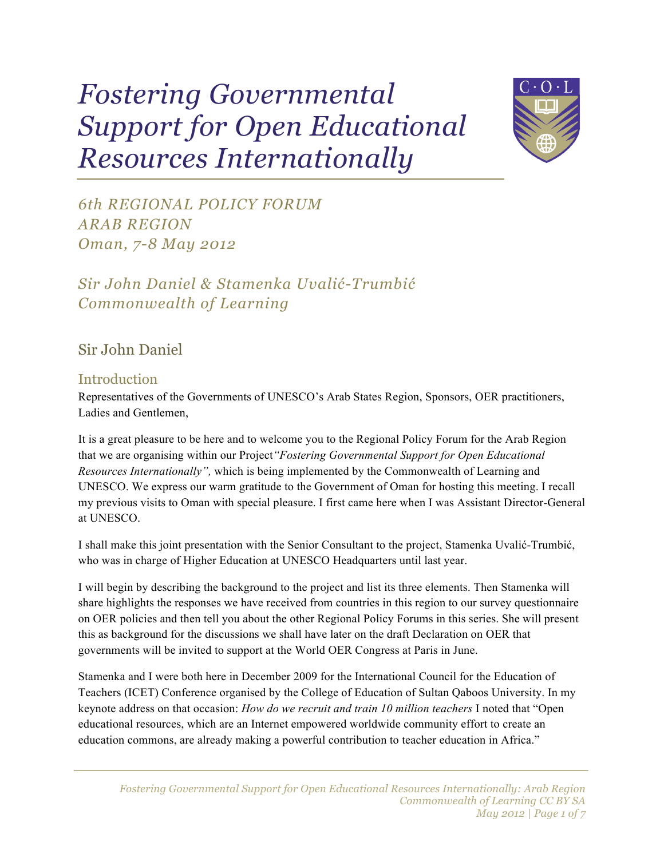# *Fostering Governmental Support for Open Educational Resources Internationally*



*6th REGIONAL POLICY FORUM ARAB REGION Oman, 7-8 May 2012*

*Sir John Daniel & Stamenka Uvalić-Trumbić Commonwealth of Learning*

## Sir John Daniel

#### **Introduction**

Representatives of the Governments of UNESCO's Arab States Region, Sponsors, OER practitioners, Ladies and Gentlemen,

It is a great pleasure to be here and to welcome you to the Regional Policy Forum for the Arab Region that we are organising within our Project*"Fostering Governmental Support for Open Educational Resources Internationally",* which is being implemented by the Commonwealth of Learning and UNESCO. We express our warm gratitude to the Government of Oman for hosting this meeting. I recall my previous visits to Oman with special pleasure. I first came here when I was Assistant Director-General at UNESCO.

I shall make this joint presentation with the Senior Consultant to the project, Stamenka Uvalić-Trumbić, who was in charge of Higher Education at UNESCO Headquarters until last year.

I will begin by describing the background to the project and list its three elements. Then Stamenka will share highlights the responses we have received from countries in this region to our survey questionnaire on OER policies and then tell you about the other Regional Policy Forums in this series. She will present this as background for the discussions we shall have later on the draft Declaration on OER that governments will be invited to support at the World OER Congress at Paris in June.

Stamenka and I were both here in December 2009 for the International Council for the Education of Teachers (ICET) Conference organised by the College of Education of Sultan Qaboos University. In my keynote address on that occasion: *How do we recruit and train 10 million teachers* I noted that "Open educational resources, which are an Internet empowered worldwide community effort to create an education commons, are already making a powerful contribution to teacher education in Africa."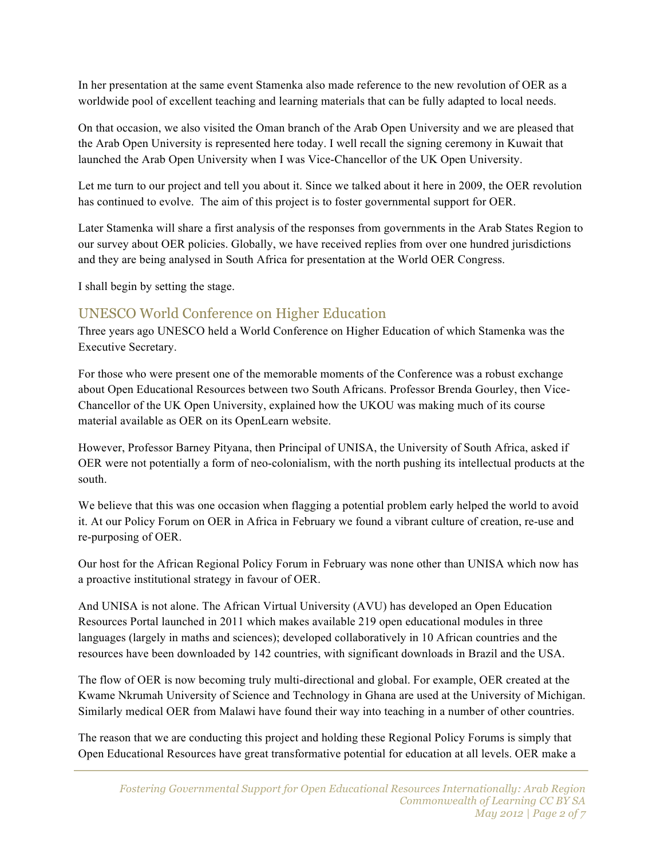In her presentation at the same event Stamenka also made reference to the new revolution of OER as a worldwide pool of excellent teaching and learning materials that can be fully adapted to local needs.

On that occasion, we also visited the Oman branch of the Arab Open University and we are pleased that the Arab Open University is represented here today. I well recall the signing ceremony in Kuwait that launched the Arab Open University when I was Vice-Chancellor of the UK Open University.

Let me turn to our project and tell you about it. Since we talked about it here in 2009, the OER revolution has continued to evolve. The aim of this project is to foster governmental support for OER.

Later Stamenka will share a first analysis of the responses from governments in the Arab States Region to our survey about OER policies. Globally, we have received replies from over one hundred jurisdictions and they are being analysed in South Africa for presentation at the World OER Congress.

I shall begin by setting the stage.

#### UNESCO World Conference on Higher Education

Three years ago UNESCO held a World Conference on Higher Education of which Stamenka was the Executive Secretary.

For those who were present one of the memorable moments of the Conference was a robust exchange about Open Educational Resources between two South Africans. Professor Brenda Gourley, then Vice-Chancellor of the UK Open University, explained how the UKOU was making much of its course material available as OER on its OpenLearn website.

However, Professor Barney Pityana, then Principal of UNISA, the University of South Africa, asked if OER were not potentially a form of neo-colonialism, with the north pushing its intellectual products at the south.

We believe that this was one occasion when flagging a potential problem early helped the world to avoid it. At our Policy Forum on OER in Africa in February we found a vibrant culture of creation, re-use and re-purposing of OER.

Our host for the African Regional Policy Forum in February was none other than UNISA which now has a proactive institutional strategy in favour of OER.

And UNISA is not alone. The African Virtual University (AVU) has developed an Open Education Resources Portal launched in 2011 which makes available 219 open educational modules in three languages (largely in maths and sciences); developed collaboratively in 10 African countries and the resources have been downloaded by 142 countries, with significant downloads in Brazil and the USA.

The flow of OER is now becoming truly multi-directional and global. For example, OER created at the Kwame Nkrumah University of Science and Technology in Ghana are used at the University of Michigan. Similarly medical OER from Malawi have found their way into teaching in a number of other countries.

The reason that we are conducting this project and holding these Regional Policy Forums is simply that Open Educational Resources have great transformative potential for education at all levels. OER make a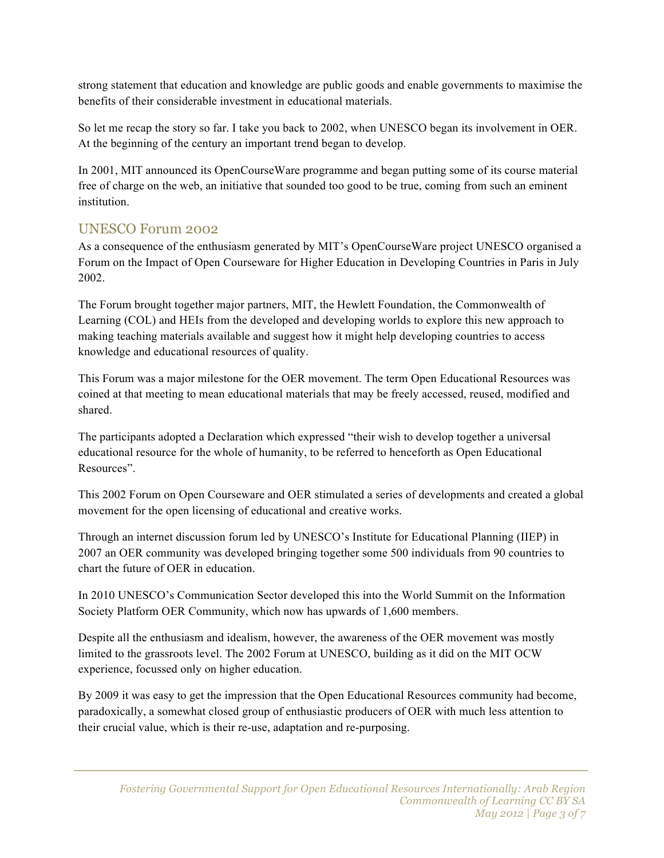strong statement that education and knowledge are public goods and enable governments to maximise the benefits of their considerable investment in educational materials.

So let me recap the story so far. I take you back to 2002, when UNESCO began its involvement in OER. At the beginning of the century an important trend began to develop.

In 2001, MIT announced its OpenCourseWare programme and began putting some of its course material free of charge on the web, an initiative that sounded too good to be true, coming from such an eminent institution.

#### UNESCO Forum 2002

As a consequence of the enthusiasm generated by MIT's OpenCourseWare project UNESCO organised a Forum on the Impact of Open Courseware for Higher Education in Developing Countries in Paris in July 2002.

The Forum brought together major partners, MIT, the Hewlett Foundation, the Commonwealth of Learning (COL) and HEIs from the developed and developing worlds to explore this new approach to making teaching materials available and suggest how it might help developing countries to access knowledge and educational resources of quality.

This Forum was a major milestone for the OER movement. The term Open Educational Resources was coined at that meeting to mean educational materials that may be freely accessed, reused, modified and shared.

The participants adopted a Declaration which expressed "their wish to develop together a universal educational resource for the whole of humanity, to be referred to henceforth as Open Educational Resources".

This 2002 Forum on Open Courseware and OER stimulated a series of developments and created a global movement for the open licensing of educational and creative works.

Through an internet discussion forum led by UNESCO's Institute for Educational Planning (IIEP) in 2007 an OER community was developed bringing together some 500 individuals from 90 countries to chart the future of OER in education.

In 2010 UNESCO's Communication Sector developed this into the World Summit on the Information Society Platform OER Community, which now has upwards of 1,600 members.

Despite all the enthusiasm and idealism, however, the awareness of the OER movement was mostly limited to the grassroots level. The 2002 Forum at UNESCO, building as it did on the MIT OCW experience, focussed only on higher education.

By 2009 it was easy to get the impression that the Open Educational Resources community had become, paradoxically, a somewhat closed group of enthusiastic producers of OER with much less attention to their crucial value, which is their re-use, adaptation and re-purposing.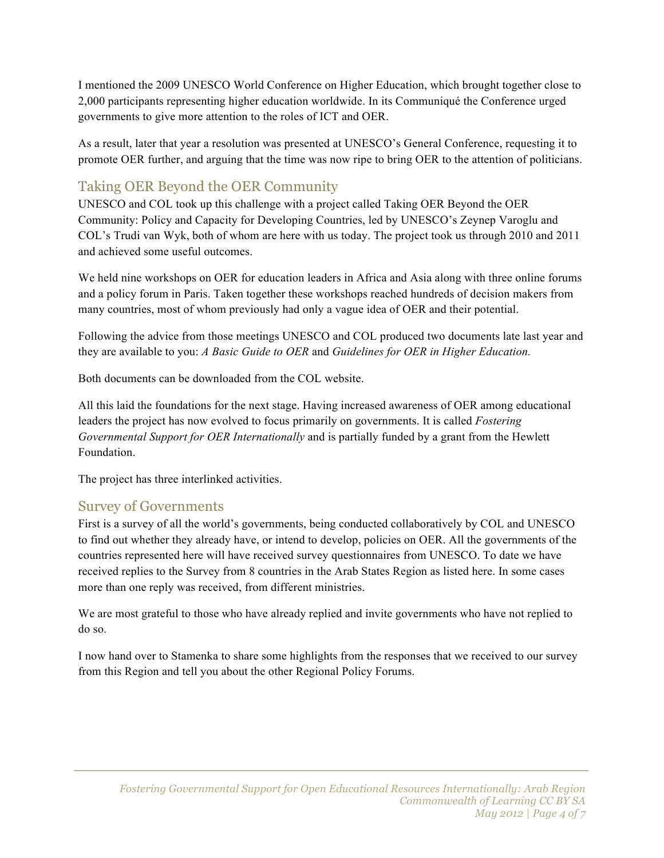I mentioned the 2009 UNESCO World Conference on Higher Education, which brought together close to 2,000 participants representing higher education worldwide. In its Communiqué the Conference urged governments to give more attention to the roles of ICT and OER.

As a result, later that year a resolution was presented at UNESCO's General Conference, requesting it to promote OER further, and arguing that the time was now ripe to bring OER to the attention of politicians.

# Taking OER Beyond the OER Community

UNESCO and COL took up this challenge with a project called Taking OER Beyond the OER Community: Policy and Capacity for Developing Countries, led by UNESCO's Zeynep Varoglu and COL's Trudi van Wyk, both of whom are here with us today. The project took us through 2010 and 2011 and achieved some useful outcomes.

We held nine workshops on OER for education leaders in Africa and Asia along with three online forums and a policy forum in Paris. Taken together these workshops reached hundreds of decision makers from many countries, most of whom previously had only a vague idea of OER and their potential.

Following the advice from those meetings UNESCO and COL produced two documents late last year and they are available to you: *A Basic Guide to OER* and *Guidelines for OER in Higher Education.*

Both documents can be downloaded from the COL website.

All this laid the foundations for the next stage. Having increased awareness of OER among educational leaders the project has now evolved to focus primarily on governments. It is called *Fostering Governmental Support for OER Internationally* and is partially funded by a grant from the Hewlett Foundation.

The project has three interlinked activities.

#### Survey of Governments

First is a survey of all the world's governments, being conducted collaboratively by COL and UNESCO to find out whether they already have, or intend to develop, policies on OER. All the governments of the countries represented here will have received survey questionnaires from UNESCO. To date we have received replies to the Survey from 8 countries in the Arab States Region as listed here. In some cases more than one reply was received, from different ministries.

We are most grateful to those who have already replied and invite governments who have not replied to do so.

I now hand over to Stamenka to share some highlights from the responses that we received to our survey from this Region and tell you about the other Regional Policy Forums.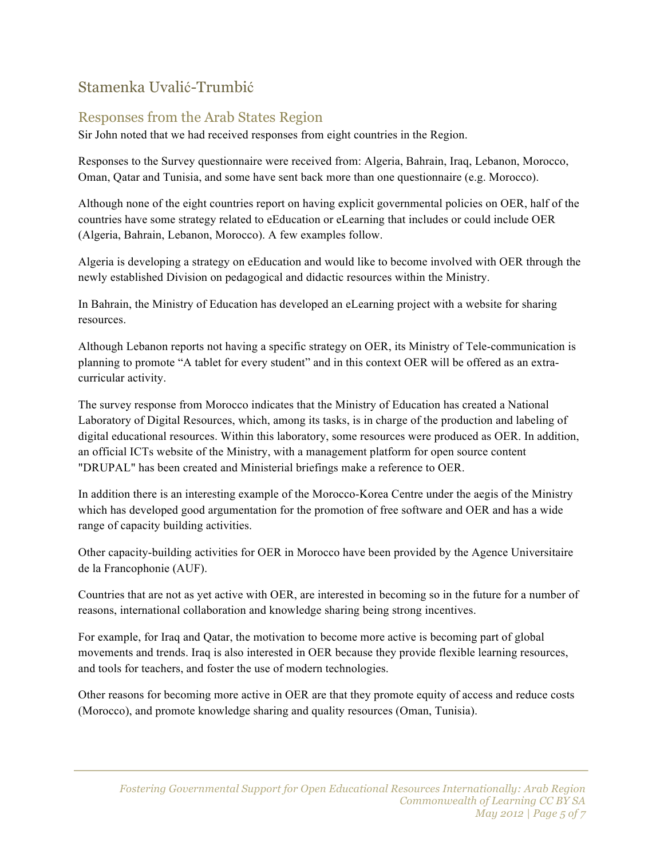# Stamenka Uvalić-Trumbić

# Responses from the Arab States Region

Sir John noted that we had received responses from eight countries in the Region.

Responses to the Survey questionnaire were received from: Algeria, Bahrain, Iraq, Lebanon, Morocco, Oman, Qatar and Tunisia, and some have sent back more than one questionnaire (e.g. Morocco).

Although none of the eight countries report on having explicit governmental policies on OER, half of the countries have some strategy related to eEducation or eLearning that includes or could include OER (Algeria, Bahrain, Lebanon, Morocco). A few examples follow.

Algeria is developing a strategy on eEducation and would like to become involved with OER through the newly established Division on pedagogical and didactic resources within the Ministry.

In Bahrain, the Ministry of Education has developed an eLearning project with a website for sharing resources.

Although Lebanon reports not having a specific strategy on OER, its Ministry of Tele-communication is planning to promote "A tablet for every student" and in this context OER will be offered as an extracurricular activity.

The survey response from Morocco indicates that the Ministry of Education has created a National Laboratory of Digital Resources, which, among its tasks, is in charge of the production and labeling of digital educational resources. Within this laboratory, some resources were produced as OER. In addition, an official ICTs website of the Ministry, with a management platform for open source content "DRUPAL" has been created and Ministerial briefings make a reference to OER.

In addition there is an interesting example of the Morocco-Korea Centre under the aegis of the Ministry which has developed good argumentation for the promotion of free software and OER and has a wide range of capacity building activities.

Other capacity-building activities for OER in Morocco have been provided by the Agence Universitaire de la Francophonie (AUF).

Countries that are not as yet active with OER, are interested in becoming so in the future for a number of reasons, international collaboration and knowledge sharing being strong incentives.

For example, for Iraq and Qatar, the motivation to become more active is becoming part of global movements and trends. Iraq is also interested in OER because they provide flexible learning resources, and tools for teachers, and foster the use of modern technologies.

Other reasons for becoming more active in OER are that they promote equity of access and reduce costs (Morocco), and promote knowledge sharing and quality resources (Oman, Tunisia).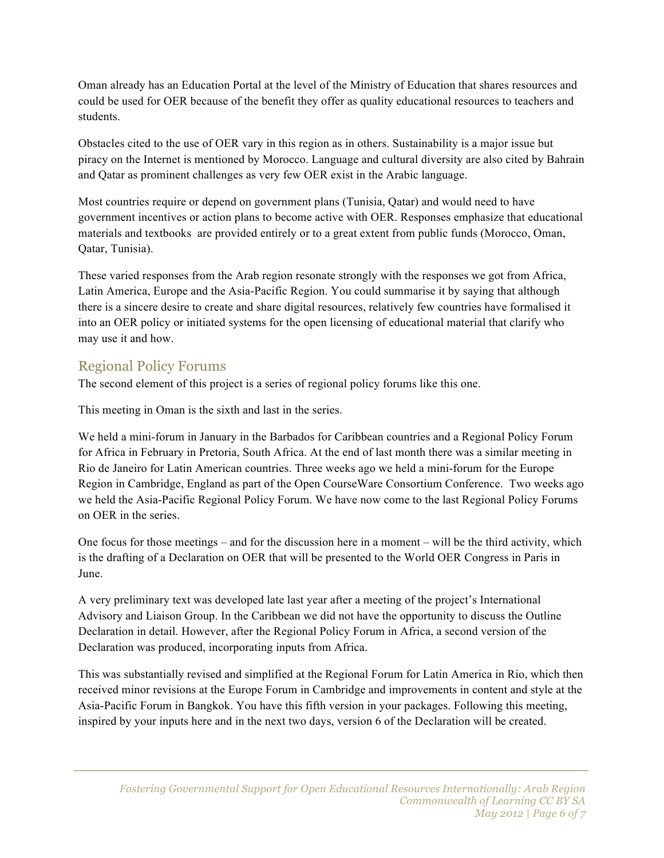Oman already has an Education Portal at the level of the Ministry of Education that shares resources and could be used for OER because of the benefit they offer as quality educational resources to teachers and students.

Obstacles cited to the use of OER vary in this region as in others. Sustainability is a major issue but piracy on the Internet is mentioned by Morocco. Language and cultural diversity are also cited by Bahrain and Qatar as prominent challenges as very few OER exist in the Arabic language.

Most countries require or depend on government plans (Tunisia, Qatar) and would need to have government incentives or action plans to become active with OER. Responses emphasize that educational materials and textbooks are provided entirely or to a great extent from public funds (Morocco, Oman, Qatar, Tunisia).

These varied responses from the Arab region resonate strongly with the responses we got from Africa, Latin America, Europe and the Asia-Pacific Region. You could summarise it by saying that although there is a sincere desire to create and share digital resources, relatively few countries have formalised it into an OER policy or initiated systems for the open licensing of educational material that clarify who may use it and how.

## Regional Policy Forums

The second element of this project is a series of regional policy forums like this one.

This meeting in Oman is the sixth and last in the series.

We held a mini-forum in January in the Barbados for Caribbean countries and a Regional Policy Forum for Africa in February in Pretoria, South Africa. At the end of last month there was a similar meeting in Rio de Janeiro for Latin American countries. Three weeks ago we held a mini-forum for the Europe Region in Cambridge, England as part of the Open CourseWare Consortium Conference. Two weeks ago we held the Asia-Pacific Regional Policy Forum. We have now come to the last Regional Policy Forums on OER in the series.

One focus for those meetings – and for the discussion here in a moment – will be the third activity, which is the drafting of a Declaration on OER that will be presented to the World OER Congress in Paris in June.

A very preliminary text was developed late last year after a meeting of the project's International Advisory and Liaison Group. In the Caribbean we did not have the opportunity to discuss the Outline Declaration in detail. However, after the Regional Policy Forum in Africa, a second version of the Declaration was produced, incorporating inputs from Africa.

This was substantially revised and simplified at the Regional Forum for Latin America in Rio, which then received minor revisions at the Europe Forum in Cambridge and improvements in content and style at the Asia-Pacific Forum in Bangkok. You have this fifth version in your packages. Following this meeting, inspired by your inputs here and in the next two days, version 6 of the Declaration will be created.